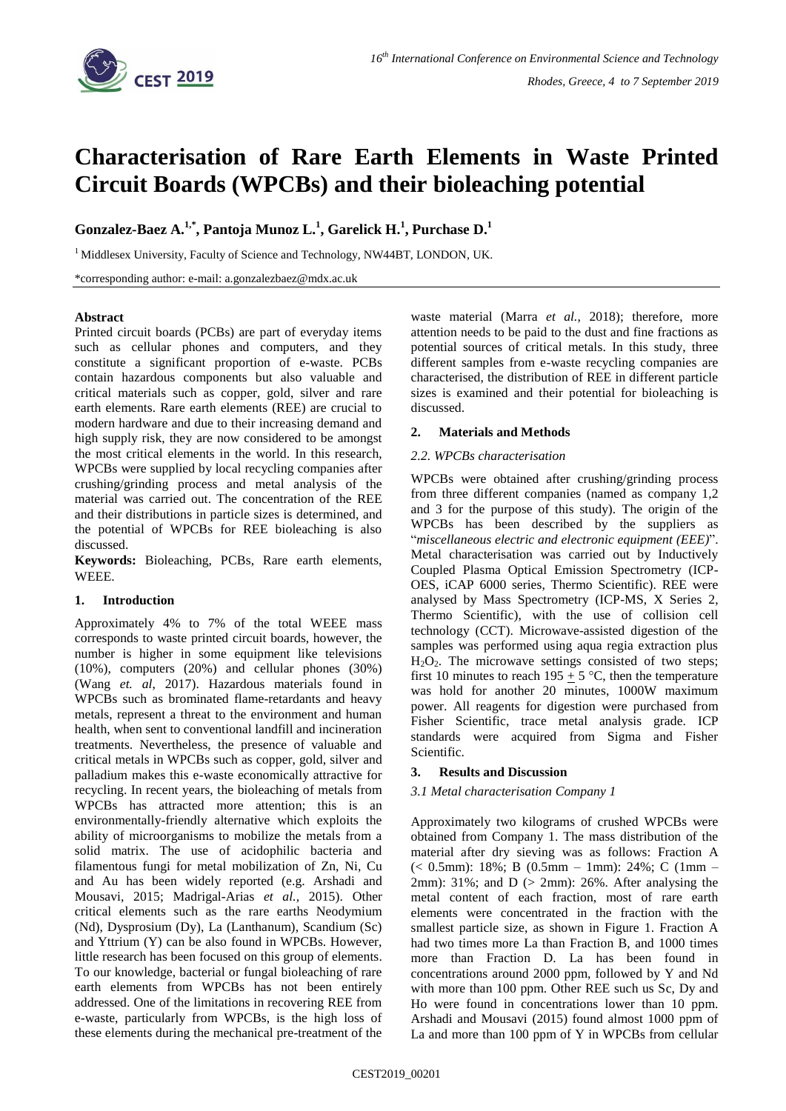

# **Characterisation of Rare Earth Elements in Waste Printed Circuit Boards (WPCBs) and their bioleaching potential**

**Gonzalez-Baez A.1,\* , Pantoja Munoz L.<sup>1</sup> , Garelick H.<sup>1</sup> , Purchase D.<sup>1</sup>**

<sup>1</sup> Middlesex University, Faculty of Science and Technology, NW44BT, LONDON, UK.

\*corresponding author: e-mail: a.gonzalezbaez@mdx.ac.uk

## **Abstract**

Printed circuit boards (PCBs) are part of everyday items such as cellular phones and computers, and they constitute a significant proportion of e-waste. PCBs contain hazardous components but also valuable and critical materials such as copper, gold, silver and rare earth elements. Rare earth elements (REE) are crucial to modern hardware and due to their increasing demand and high supply risk, they are now considered to be amongst the most critical elements in the world. In this research, WPCBs were supplied by local recycling companies after crushing/grinding process and metal analysis of the material was carried out. The concentration of the REE and their distributions in particle sizes is determined, and the potential of WPCBs for REE bioleaching is also discussed.

**Keywords:** Bioleaching, PCBs, Rare earth elements, WEEE.

#### **1. Introduction**

Approximately 4% to 7% of the total WEEE mass corresponds to waste printed circuit boards, however, the number is higher in some equipment like televisions (10%), computers (20%) and cellular phones (30%) (Wang *et. al*, 2017). Hazardous materials found in WPCBs such as brominated flame-retardants and heavy metals, represent a threat to the environment and human health, when sent to conventional landfill and incineration treatments. Nevertheless, the presence of valuable and critical metals in WPCBs such as copper, gold, silver and palladium makes this e-waste economically attractive for recycling. In recent years, the bioleaching of metals from WPCBs has attracted more attention; this is an environmentally-friendly alternative which exploits the ability of microorganisms to mobilize the metals from a solid matrix. The use of acidophilic bacteria and filamentous fungi for metal mobilization of Zn, Ni, Cu and Au has been widely reported (e.g. Arshadi and Mousavi, 2015; Madrigal-Arias *et al.,* 2015). Other critical elements such as the rare earths Neodymium (Nd), Dysprosium (Dy), La (Lanthanum), Scandium (Sc) and Yttrium (Y) can be also found in WPCBs. However, little research has been focused on this group of elements. To our knowledge, bacterial or fungal bioleaching of rare earth elements from WPCBs has not been entirely addressed. One of the limitations in recovering REE from e-waste, particularly from WPCBs, is the high loss of these elements during the mechanical pre-treatment of the

waste material (Marra *et al.,* 2018); therefore, more attention needs to be paid to the dust and fine fractions as potential sources of critical metals. In this study, three different samples from e-waste recycling companies are characterised, the distribution of REE in different particle sizes is examined and their potential for bioleaching is discussed.

## **2. Materials and Methods**

## *2.2. WPCBs characterisation*

WPCBs were obtained after crushing/grinding process from three different companies (named as company 1,2 and 3 for the purpose of this study). The origin of the WPCBs has been described by the suppliers as "*miscellaneous electric and electronic equipment (EEE)*". Metal characterisation was carried out by Inductively Coupled Plasma Optical Emission Spectrometry (ICP-OES, iCAP 6000 series, Thermo Scientific). REE were analysed by Mass Spectrometry (ICP-MS, X Series 2, Thermo Scientific), with the use of collision cell technology (CCT). Microwave-assisted digestion of the samples was performed using aqua regia extraction plus  $H_2O_2$ . The microwave settings consisted of two steps; first 10 minutes to reach 195  $\pm$  5 °C, then the temperature was hold for another 20 minutes, 1000W maximum power. All reagents for digestion were purchased from Fisher Scientific, trace metal analysis grade. ICP standards were acquired from Sigma and Fisher Scientific.

## **3. Results and Discussion**

## *3.1 Metal characterisation Company 1*

Approximately two kilograms of crushed WPCBs were obtained from Company 1. The mass distribution of the material after dry sieving was as follows: Fraction A (< 0.5mm): 18%; B (0.5mm – 1mm): 24%; C (1mm – 2mm): 31%; and  $D$  ( $>$  2mm): 26%. After analysing the metal content of each fraction, most of rare earth elements were concentrated in the fraction with the smallest particle size, as shown in Figure 1. Fraction A had two times more La than Fraction B, and 1000 times more than Fraction D. La has been found in concentrations around 2000 ppm, followed by Y and Nd with more than 100 ppm. Other REE such us Sc, Dy and Ho were found in concentrations lower than 10 ppm. Arshadi and Mousavi (2015) found almost 1000 ppm of La and more than 100 ppm of Y in WPCBs from cellular